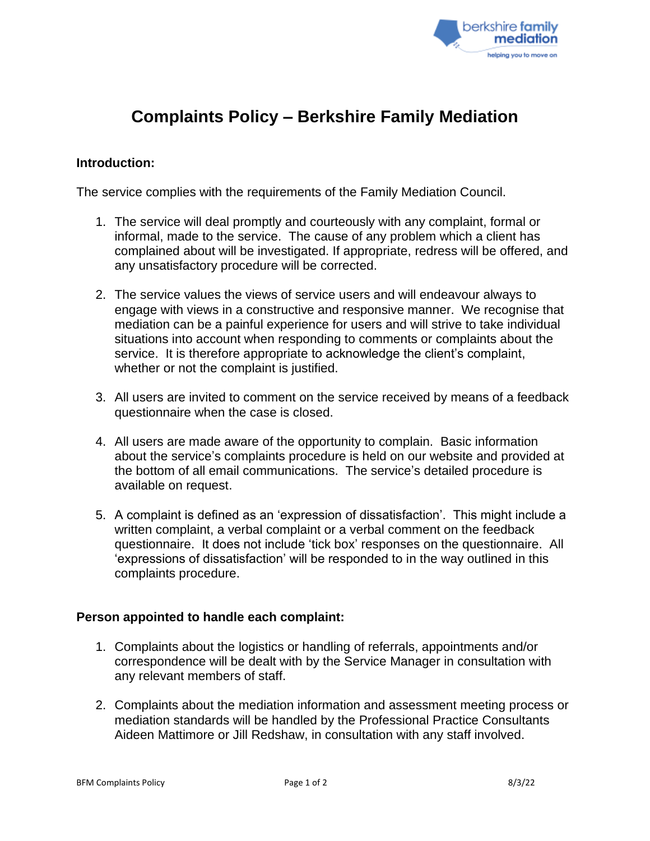

# **Complaints Policy – Berkshire Family Mediation**

## **Introduction:**

The service complies with the requirements of the Family Mediation Council.

- 1. The service will deal promptly and courteously with any complaint, formal or informal, made to the service. The cause of any problem which a client has complained about will be investigated. If appropriate, redress will be offered, and any unsatisfactory procedure will be corrected.
- 2. The service values the views of service users and will endeavour always to engage with views in a constructive and responsive manner. We recognise that mediation can be a painful experience for users and will strive to take individual situations into account when responding to comments or complaints about the service. It is therefore appropriate to acknowledge the client's complaint, whether or not the complaint is justified.
- 3. All users are invited to comment on the service received by means of a feedback questionnaire when the case is closed.
- 4. All users are made aware of the opportunity to complain. Basic information about the service's complaints procedure is held on our website and provided at the bottom of all email communications. The service's detailed procedure is available on request.
- 5. A complaint is defined as an 'expression of dissatisfaction'. This might include a written complaint, a verbal complaint or a verbal comment on the feedback questionnaire. It does not include 'tick box' responses on the questionnaire. All 'expressions of dissatisfaction' will be responded to in the way outlined in this complaints procedure.

### **Person appointed to handle each complaint:**

- 1. Complaints about the logistics or handling of referrals, appointments and/or correspondence will be dealt with by the Service Manager in consultation with any relevant members of staff.
- 2. Complaints about the mediation information and assessment meeting process or mediation standards will be handled by the Professional Practice Consultants Aideen Mattimore or Jill Redshaw, in consultation with any staff involved.